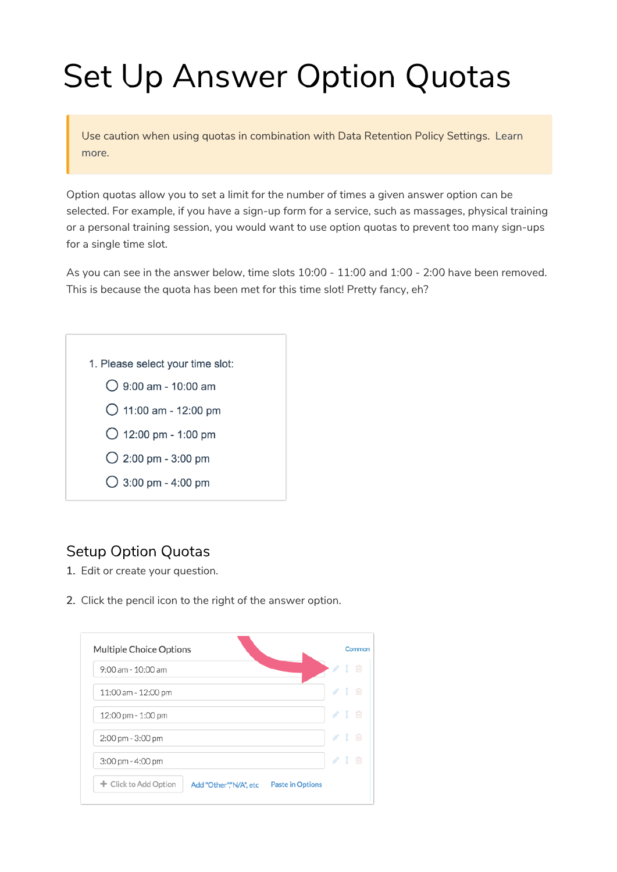# Set Up Answer Option Quotas

Use caution when using quotas in combination with Data Retention Policy Settings. Learn more.

Option quotas allow you to set a limit for the number of times a given answer option can be selected. For example, if you have a sign-up form for a service, such as massages, physical training or a personal training session, you would want to use option quotas to prevent too many sign-ups for a single time slot.

As you can see in the answer below, time slots 10:00 - 11:00 and 1:00 - 2:00 have been removed. This is because the quota has been met for this time slot! Pretty fancy, eh?



# Setup Option Quotas

- 1. Edit or create your question.
- 2. Click the pencil icon to the right of the answer option.

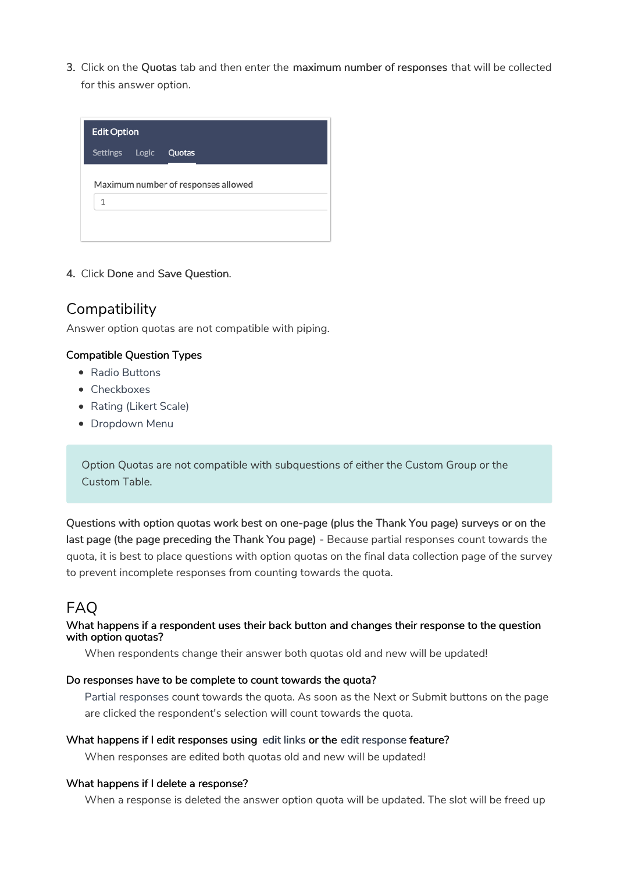3. Click on the Quotas tab and then enter the maximum number of responses that will be collected for this answer option.

| <b>Edit Option</b> |                                     |
|--------------------|-------------------------------------|
| Settings Logic     | Quotas                              |
| 1                  | Maximum number of responses allowed |

4. Click Done and Save Question.

## **Compatibility**

Answer option quotas are not compatible with piping.

## Compatible Question Types

- Radio Buttons
- Checkboxes
- Rating (Likert Scale)
- Dropdown Menu

Option Quotas are not compatible with subquestions of either the Custom Group or the Custom Table.

Questions with option quotas work best on one-page (plus the Thank You page) surveys or on the last page (the page preceding the Thank You page) - Because partial responses count towards the quota, it is best to place questions with option quotas on the final data collection page of the survey to prevent incomplete responses from counting towards the quota.

## FAQ

## What happens if a respondent uses their back button and changes their response to the question with option quotas?

When respondents change their answer both quotas old and new will be updated!

## Do responses have to be complete to count towards the quota?

Partial responses count towards the quota. As soon as the Next or Submit buttons on the page are clicked the respondent's selection will count towards the quota.

## What happens if I edit responses using edit links or the edit response feature?

When responses are edited both quotas old and new will be updated!

#### What happens if I delete a response?

When a response is deleted the answer option quota will be updated. The slot will be freed up